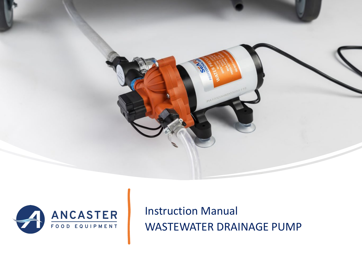



Instruction Manual WASTEWATER DRAINAGE PUMP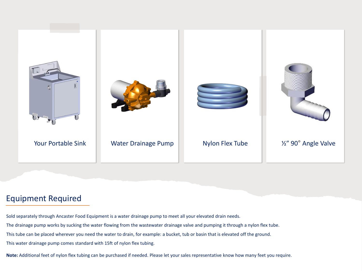

## Equipment Required

Sold separately through Ancaster Food Equipment is a water drainage pump to meet all your elevated drain needs.

The drainage pump works by sucking the water flowing from the wastewater drainage valve and pumping it through a nylon flex tube.

This tube can be placed wherever you need the water to drain, for example: a bucket, tub or basin that is elevated off the ground.

This water drainage pump comes standard with 15ft of nylon flex tubing.

**Note:** Additional feet of nylon flex tubing can be purchased if needed. Please let your sales representative know how many feet you require.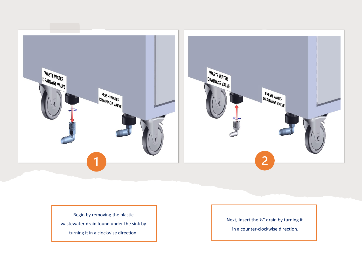

Begin by removing the plastic wastewater drain found under the sink by turning it in a clockwise direction.

Next, insert the ½" drain by turning it

in a counter -clockwise direction.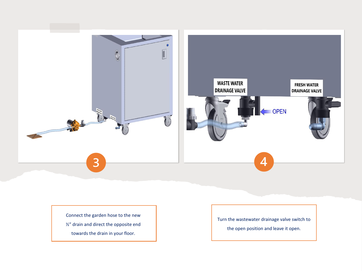

Connect the garden hose to the new

- ½" drain and direct the opposite end
	- towards the drain in your floor.

Turn the wastewater drainage valve switch to

the open position and leave it open.